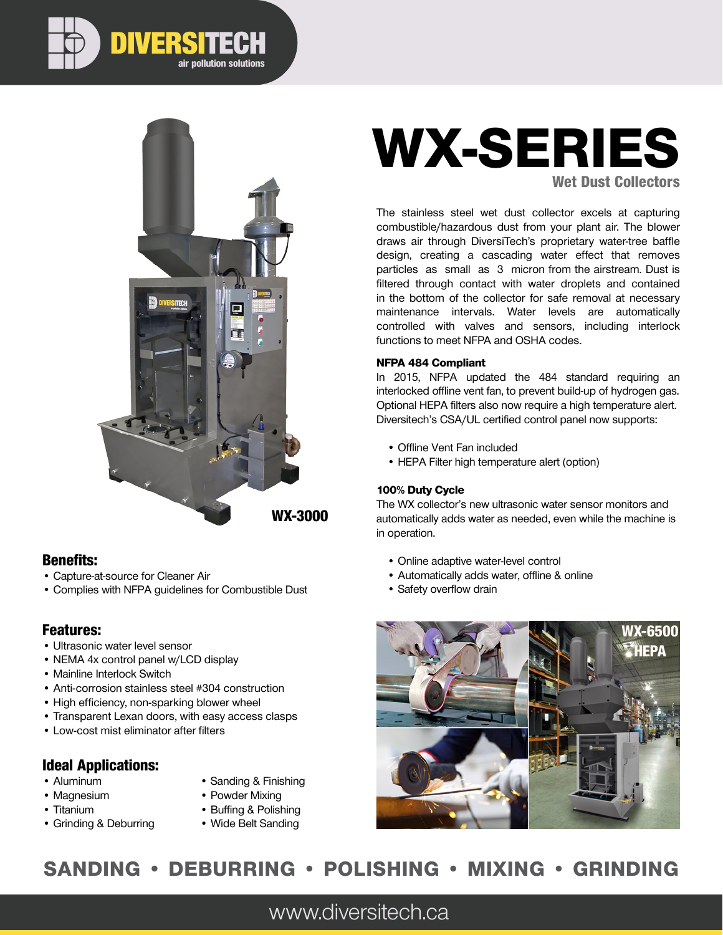

air pollution solutions

DIVERSITECH

### Benefits:

- Capture-at-source for Cleaner Air
- Complies with NFPA guidelines for Combustible Dust

### Features:

- Ultrasonic water level sensor
- NEMA 4x control panel w/LCD display
- Mainline Interlock Switch
- Anti-corrosion stainless steel #304 construction
- High efficiency, non-sparking blower wheel
- Transparent Lexan doors, with easy access clasps
- Low-cost mist eliminator after filters

### Ideal Applications:

- Aluminum
- Magnesium
- Titanium
- Grinding & Deburring
- Sanding & Finishing
- Powder Mixing
- Buffing & Polishing
- Wide Belt Sanding

# WX-SERIES Wet Dust Collectors

The stainless steel wet dust collector excels at capturing combustible/hazardous dust from your plant air. The blower draws air through DiversiTech's proprietary water-tree baffle design, creating a cascading water effect that removes particles as small as 3 micron from the airstream. Dust is filtered through contact with water droplets and contained in the bottom of the collector for safe removal at necessary maintenance intervals. Water levels are automatically controlled with valves and sensors, including interlock functions to meet NFPA and OSHA codes.

#### NFPA 484 Compliant

In 2015, NFPA updated the 484 standard requiring an interlocked offline vent fan, to prevent build-up of hydrogen gas. Optional HEPA filters also now require a high temperature alert. Diversitech's CSA/UL certified control panel now supports:

- Offline Vent Fan included
- HEPA Filter high temperature alert (option)

#### 100% Duty Cycle

The WX collector's new ultrasonic water sensor monitors and automatically adds water as needed, even while the machine is in operation.

- Online adaptive water-level control
- Automatically adds water, offline & online
- Safety overflow drain



# SANDING • DEBURRING • POLISHING • MIXING • GRINDING

www.diversitech.ca